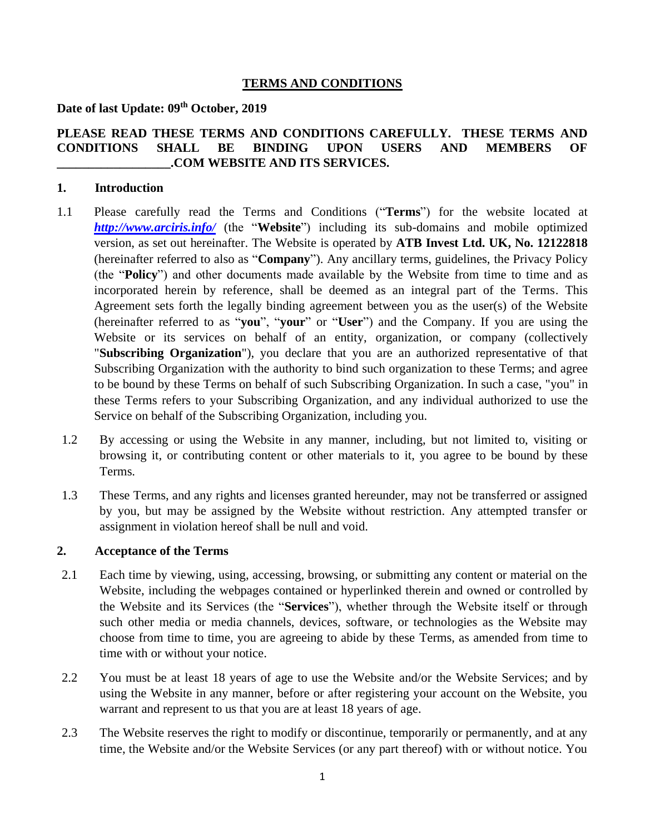## **TERMS AND CONDITIONS**

# **Date of last Update: 09th October, 2019**

# **PLEASE READ THESE TERMS AND CONDITIONS CAREFULLY. THESE TERMS AND CONDITIONS SHALL BE BINDING UPON USERS AND MEMBERS OF \_\_\_\_\_\_\_\_\_\_\_\_\_\_\_\_\_\_.COM WEBSITE AND ITS SERVICES.**

## **1. Introduction**

- 1.1 Please carefully read the Terms and Conditions ("**Terms**") for the website located at *<http://www.arciris.info/>* (the "**Website**") including its sub-domains and mobile optimized version, as set out hereinafter. The Website is operated by **ATB Invest Ltd. UK, No. 12122818**  (hereinafter referred to also as "**Company**"). Any ancillary terms, guidelines, the Privacy Policy (the "**Policy**") and other documents made available by the Website from time to time and as incorporated herein by reference, shall be deemed as an integral part of the Terms. This Agreement sets forth the legally binding agreement between you as the user(s) of the Website (hereinafter referred to as "**you**", "**your**" or "**User**") and the Company. If you are using the Website or its services on behalf of an entity, organization, or company (collectively "**Subscribing Organization**"), you declare that you are an authorized representative of that Subscribing Organization with the authority to bind such organization to these Terms; and agree to be bound by these Terms on behalf of such Subscribing Organization. In such a case, "you" in these Terms refers to your Subscribing Organization, and any individual authorized to use the Service on behalf of the Subscribing Organization, including you.
- 1.2 By accessing or using the Website in any manner, including, but not limited to, visiting or browsing it, or contributing content or other materials to it, you agree to be bound by these Terms.
- 1.3 These Terms, and any rights and licenses granted hereunder, may not be transferred or assigned by you, but may be assigned by the Website without restriction. Any attempted transfer or assignment in violation hereof shall be null and void.

### **2. Acceptance of the Terms**

- 2.1 Each time by viewing, using, accessing, browsing, or submitting any content or material on the Website, including the webpages contained or hyperlinked therein and owned or controlled by the Website and its Services (the "**Services**"), whether through the Website itself or through such other media or media channels, devices, software, or technologies as the Website may choose from time to time, you are agreeing to abide by these Terms, as amended from time to time with or without your notice.
- 2.2 You must be at least 18 years of age to use the Website and/or the Website Services; and by using the Website in any manner, before or after registering your account on the Website, you warrant and represent to us that you are at least 18 years of age.
- 2.3 The Website reserves the right to modify or discontinue, temporarily or permanently, and at any time, the Website and/or the Website Services (or any part thereof) with or without notice. You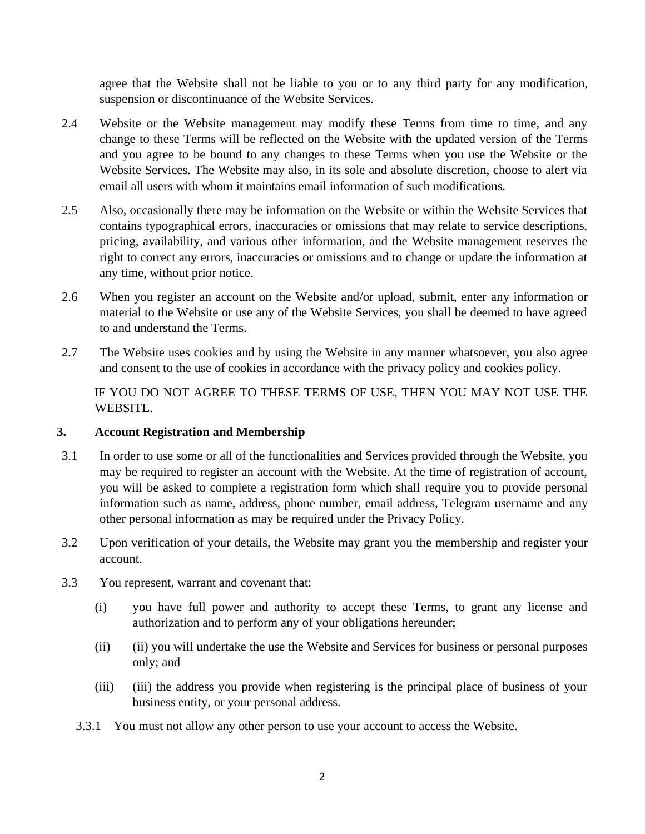agree that the Website shall not be liable to you or to any third party for any modification, suspension or discontinuance of the Website Services.

- 2.4 Website or the Website management may modify these Terms from time to time, and any change to these Terms will be reflected on the Website with the updated version of the Terms and you agree to be bound to any changes to these Terms when you use the Website or the Website Services. The Website may also, in its sole and absolute discretion, choose to alert via email all users with whom it maintains email information of such modifications.
- 2.5 Also, occasionally there may be information on the Website or within the Website Services that contains typographical errors, inaccuracies or omissions that may relate to service descriptions, pricing, availability, and various other information, and the Website management reserves the right to correct any errors, inaccuracies or omissions and to change or update the information at any time, without prior notice.
- 2.6 When you register an account on the Website and/or upload, submit, enter any information or material to the Website or use any of the Website Services, you shall be deemed to have agreed to and understand the Terms.
- 2.7 The Website uses cookies and by using the Website in any manner whatsoever, you also agree and consent to the use of cookies in accordance with the privacy policy and cookies policy.

IF YOU DO NOT AGREE TO THESE TERMS OF USE, THEN YOU MAY NOT USE THE WEBSITE.

# **3. Account Registration and Membership**

- 3.1 In order to use some or all of the functionalities and Services provided through the Website, you may be required to register an account with the Website. At the time of registration of account, you will be asked to complete a registration form which shall require you to provide personal information such as name, address, phone number, email address, Telegram username and any other personal information as may be required under the Privacy Policy.
- 3.2 Upon verification of your details, the Website may grant you the membership and register your account.
- 3.3 You represent, warrant and covenant that:
	- (i) you have full power and authority to accept these Terms, to grant any license and authorization and to perform any of your obligations hereunder;
	- (ii) (ii) you will undertake the use the Website and Services for business or personal purposes only; and
	- (iii) (iii) the address you provide when registering is the principal place of business of your business entity, or your personal address.
	- 3.3.1 You must not allow any other person to use your account to access the Website.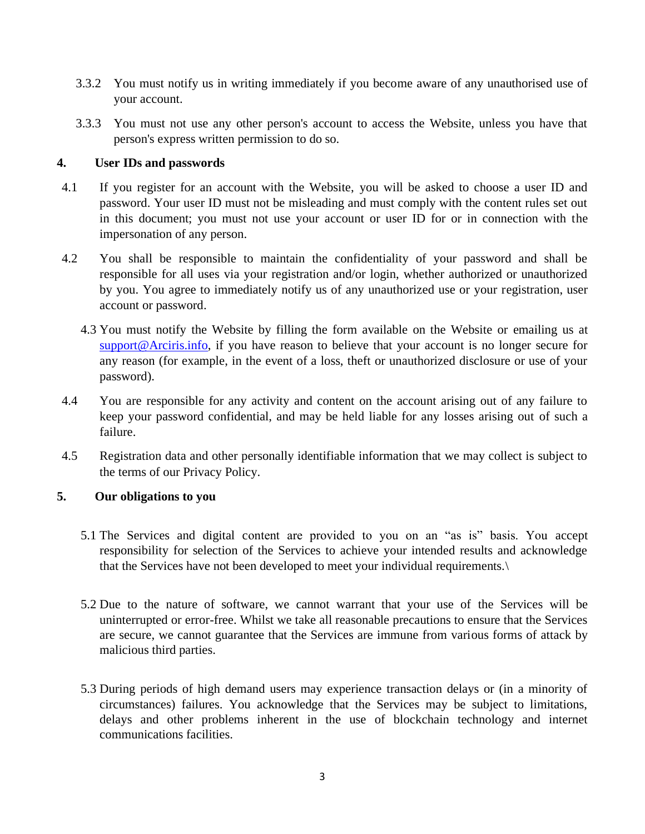- 3.3.2 You must notify us in writing immediately if you become aware of any unauthorised use of your account.
- 3.3.3 You must not use any other person's account to access the Website, unless you have that person's express written permission to do so.

## **4. User IDs and passwords**

- 4.1 If you register for an account with the Website, you will be asked to choose a user ID and password. Your user ID must not be misleading and must comply with the content rules set out in this document; you must not use your account or user ID for or in connection with the impersonation of any person.
- 4.2 You shall be responsible to maintain the confidentiality of your password and shall be responsible for all uses via your registration and/or login, whether authorized or unauthorized by you. You agree to immediately notify us of any unauthorized use or your registration, user account or password.
	- 4.3 You must notify the Website by filling the form available on the Website or emailing us at support@Arciris.info, if you have reason to believe that your account is no longer secure for any reason (for example, in the event of a loss, theft or unauthorized disclosure or use of your password).
- 4.4 You are responsible for any activity and content on the account arising out of any failure to keep your password confidential, and may be held liable for any losses arising out of such a failure.
- 4.5 Registration data and other personally identifiable information that we may collect is subject to the terms of our Privacy Policy.

# **5. Our obligations to you**

- 5.1 The Services and digital content are provided to you on an "as is" basis. You accept responsibility for selection of the Services to achieve your intended results and acknowledge that the Services have not been developed to meet your individual requirements.\
- 5.2 Due to the nature of software, we cannot warrant that your use of the Services will be uninterrupted or error-free. Whilst we take all reasonable precautions to ensure that the Services are secure, we cannot guarantee that the Services are immune from various forms of attack by malicious third parties.
- 5.3 During periods of high demand users may experience transaction delays or (in a minority of circumstances) failures. You acknowledge that the Services may be subject to limitations, delays and other problems inherent in the use of blockchain technology and internet communications facilities.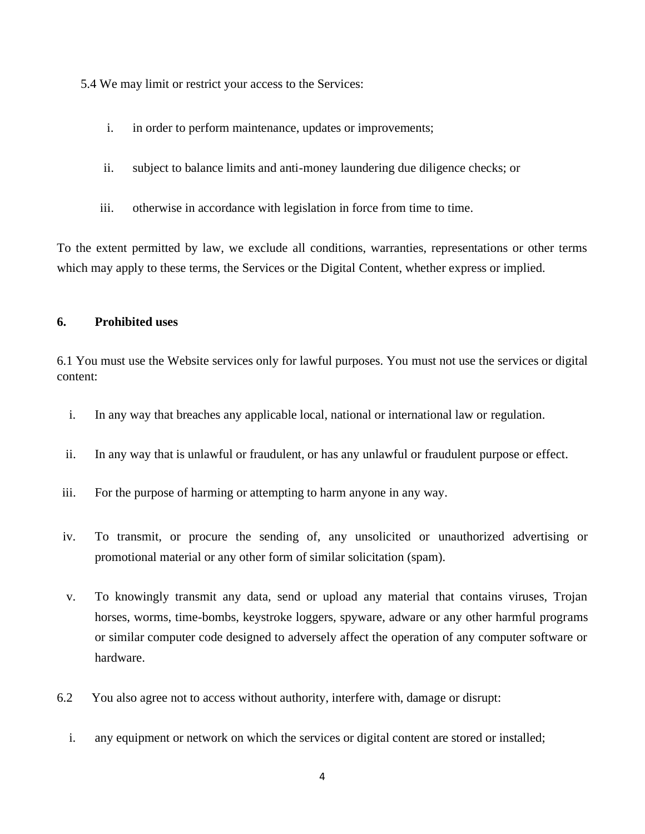5.4 We may limit or restrict your access to the Services:

- i. in order to perform maintenance, updates or improvements;
- ii. subject to balance limits and anti-money laundering due diligence checks; or
- iii. otherwise in accordance with legislation in force from time to time.

To the extent permitted by law, we exclude all conditions, warranties, representations or other terms which may apply to these terms, the Services or the Digital Content, whether express or implied.

#### **6. Prohibited uses**

6.1 You must use the Website services only for lawful purposes. You must not use the services or digital content:

- i. In any way that breaches any applicable local, national or international law or regulation.
- ii. In any way that is unlawful or fraudulent, or has any unlawful or fraudulent purpose or effect.
- iii. For the purpose of harming or attempting to harm anyone in any way.
- iv. To transmit, or procure the sending of, any unsolicited or unauthorized advertising or promotional material or any other form of similar solicitation (spam).
- v. To knowingly transmit any data, send or upload any material that contains viruses, Trojan horses, worms, time-bombs, keystroke loggers, spyware, adware or any other harmful programs or similar computer code designed to adversely affect the operation of any computer software or hardware.
- 6.2 You also agree not to access without authority, interfere with, damage or disrupt:
	- i. any equipment or network on which the services or digital content are stored or installed;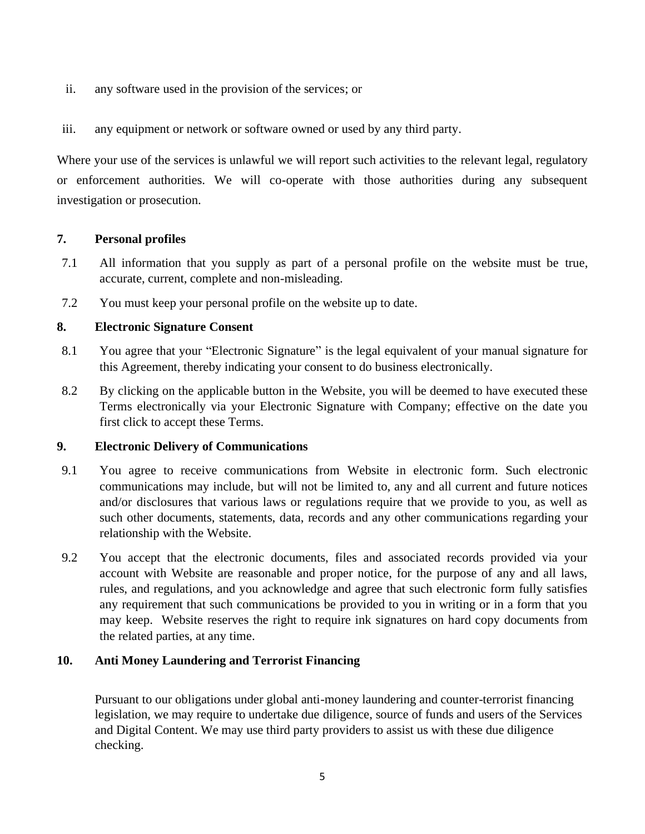- ii. any software used in the provision of the services; or
- iii. any equipment or network or software owned or used by any third party.

Where your use of the services is unlawful we will report such activities to the relevant legal, regulatory or enforcement authorities. We will co-operate with those authorities during any subsequent investigation or prosecution.

## **7. Personal profiles**

- 7.1 All information that you supply as part of a personal profile on the website must be true, accurate, current, complete and non-misleading.
- 7.2 You must keep your personal profile on the website up to date.

## **8. Electronic Signature Consent**

- 8.1 You agree that your "Electronic Signature" is the legal equivalent of your manual signature for this Agreement, thereby indicating your consent to do business electronically.
- 8.2 By clicking on the applicable button in the Website, you will be deemed to have executed these Terms electronically via your Electronic Signature with Company; effective on the date you first click to accept these Terms.

### **9. Electronic Delivery of Communications**

- 9.1 You agree to receive communications from Website in electronic form. Such electronic communications may include, but will not be limited to, any and all current and future notices and/or disclosures that various laws or regulations require that we provide to you, as well as such other documents, statements, data, records and any other communications regarding your relationship with the Website.
- 9.2 You accept that the electronic documents, files and associated records provided via your account with Website are reasonable and proper notice, for the purpose of any and all laws, rules, and regulations, and you acknowledge and agree that such electronic form fully satisfies any requirement that such communications be provided to you in writing or in a form that you may keep. Website reserves the right to require ink signatures on hard copy documents from the related parties, at any time.

### **10. Anti Money Laundering and Terrorist Financing**

Pursuant to our obligations under global anti-money laundering and counter-terrorist financing legislation, we may require to undertake due diligence, source of funds and users of the Services and Digital Content. We may use third party providers to assist us with these due diligence checking.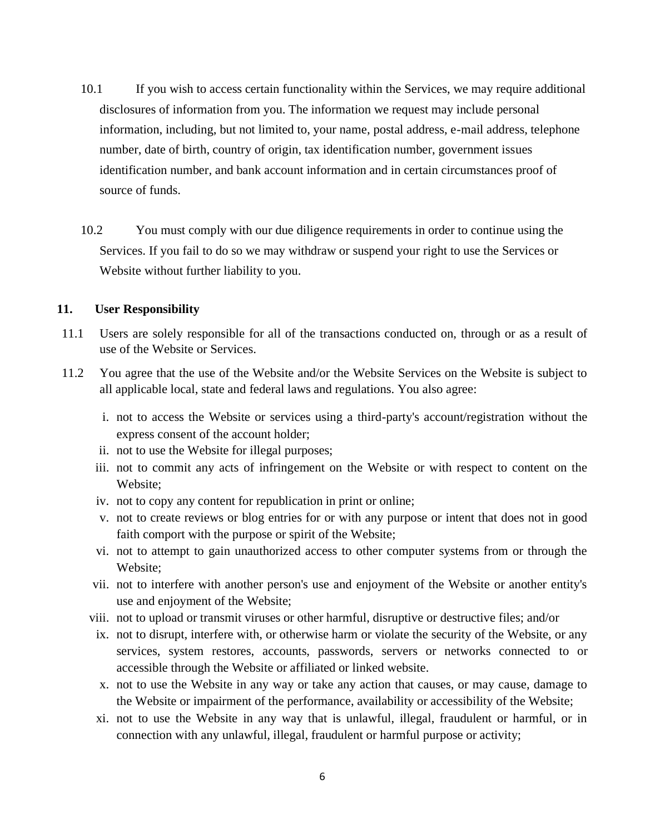- 10.1 If you wish to access certain functionality within the Services, we may require additional disclosures of information from you. The information we request may include personal information, including, but not limited to, your name, postal address, e-mail address, telephone number, date of birth, country of origin, tax identification number, government issues identification number, and bank account information and in certain circumstances proof of source of funds.
- 10.2 You must comply with our due diligence requirements in order to continue using the Services. If you fail to do so we may withdraw or suspend your right to use the Services or Website without further liability to you.

#### **11. User Responsibility**

- 11.1 Users are solely responsible for all of the transactions conducted on, through or as a result of use of the Website or Services.
- 11.2 You agree that the use of the Website and/or the Website Services on the Website is subject to all applicable local, state and federal laws and regulations. You also agree:
	- i. not to access the Website or services using a third-party's account/registration without the express consent of the account holder;
	- ii. not to use the Website for illegal purposes;
	- iii. not to commit any acts of infringement on the Website or with respect to content on the Website;
	- iv. not to copy any content for republication in print or online;
	- v. not to create reviews or blog entries for or with any purpose or intent that does not in good faith comport with the purpose or spirit of the Website;
	- vi. not to attempt to gain unauthorized access to other computer systems from or through the Website;
	- vii. not to interfere with another person's use and enjoyment of the Website or another entity's use and enjoyment of the Website;
	- viii. not to upload or transmit viruses or other harmful, disruptive or destructive files; and/or
	- ix. not to disrupt, interfere with, or otherwise harm or violate the security of the Website, or any services, system restores, accounts, passwords, servers or networks connected to or accessible through the Website or affiliated or linked website.
	- x. not to use the Website in any way or take any action that causes, or may cause, damage to the Website or impairment of the performance, availability or accessibility of the Website;
	- xi. not to use the Website in any way that is unlawful, illegal, fraudulent or harmful, or in connection with any unlawful, illegal, fraudulent or harmful purpose or activity;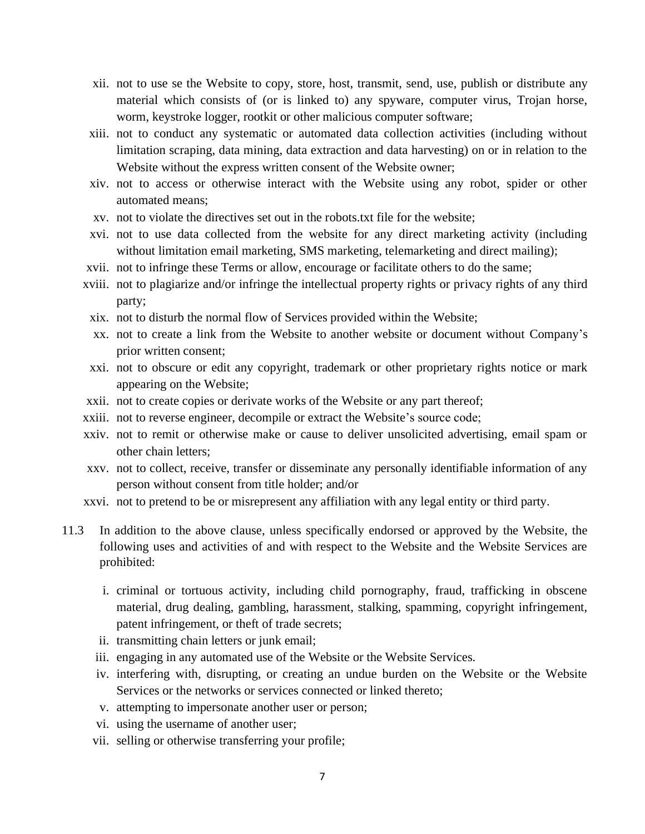- xii. not to use se the Website to copy, store, host, transmit, send, use, publish or distribute any material which consists of (or is linked to) any spyware, computer virus, Trojan horse, worm, keystroke logger, rootkit or other malicious computer software;
- xiii. not to conduct any systematic or automated data collection activities (including without limitation scraping, data mining, data extraction and data harvesting) on or in relation to the Website without the express written consent of the Website owner;
- xiv. not to access or otherwise interact with the Website using any robot, spider or other automated means;
- xv. not to violate the directives set out in the robots.txt file for the website;
- xvi. not to use data collected from the website for any direct marketing activity (including without limitation email marketing, SMS marketing, telemarketing and direct mailing);
- xvii. not to infringe these Terms or allow, encourage or facilitate others to do the same;
- xviii. not to plagiarize and/or infringe the intellectual property rights or privacy rights of any third party;
- xix. not to disturb the normal flow of Services provided within the Website;
- xx. not to create a link from the Website to another website or document without Company's prior written consent;
- xxi. not to obscure or edit any copyright, trademark or other proprietary rights notice or mark appearing on the Website;
- xxii. not to create copies or derivate works of the Website or any part thereof;
- xxiii. not to reverse engineer, decompile or extract the Website's source code;
- xxiv. not to remit or otherwise make or cause to deliver unsolicited advertising, email spam or other chain letters;
- xxv. not to collect, receive, transfer or disseminate any personally identifiable information of any person without consent from title holder; and/or
- xxvi. not to pretend to be or misrepresent any affiliation with any legal entity or third party.
- 11.3 In addition to the above clause, unless specifically endorsed or approved by the Website, the following uses and activities of and with respect to the Website and the Website Services are prohibited:
	- i. criminal or tortuous activity, including child pornography, fraud, trafficking in obscene material, drug dealing, gambling, harassment, stalking, spamming, copyright infringement, patent infringement, or theft of trade secrets;
	- ii. transmitting chain letters or junk email;
	- iii. engaging in any automated use of the Website or the Website Services.
	- iv. interfering with, disrupting, or creating an undue burden on the Website or the Website Services or the networks or services connected or linked thereto;
	- v. attempting to impersonate another user or person;
	- vi. using the username of another user;
	- vii. selling or otherwise transferring your profile;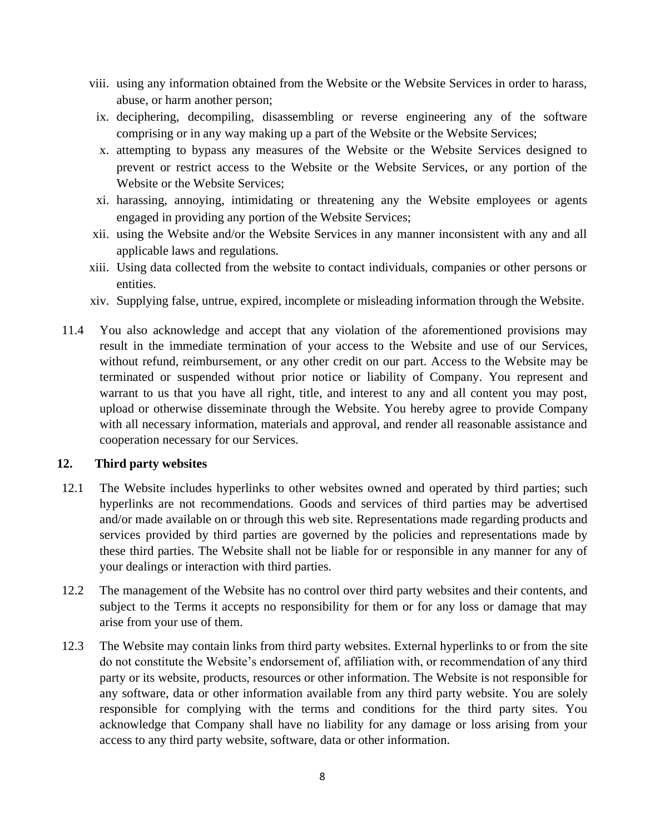- viii. using any information obtained from the Website or the Website Services in order to harass, abuse, or harm another person;
- ix. deciphering, decompiling, disassembling or reverse engineering any of the software comprising or in any way making up a part of the Website or the Website Services;
- x. attempting to bypass any measures of the Website or the Website Services designed to prevent or restrict access to the Website or the Website Services, or any portion of the Website or the Website Services;
- xi. harassing, annoying, intimidating or threatening any the Website employees or agents engaged in providing any portion of the Website Services;
- xii. using the Website and/or the Website Services in any manner inconsistent with any and all applicable laws and regulations.
- xiii. Using data collected from the website to contact individuals, companies or other persons or entities.
- xiv. Supplying false, untrue, expired, incomplete or misleading information through the Website.
- 11.4 You also acknowledge and accept that any violation of the aforementioned provisions may result in the immediate termination of your access to the Website and use of our Services, without refund, reimbursement, or any other credit on our part. Access to the Website may be terminated or suspended without prior notice or liability of Company. You represent and warrant to us that you have all right, title, and interest to any and all content you may post, upload or otherwise disseminate through the Website. You hereby agree to provide Company with all necessary information, materials and approval, and render all reasonable assistance and cooperation necessary for our Services.

### **12. Third party websites**

- 12.1 The Website includes hyperlinks to other websites owned and operated by third parties; such hyperlinks are not recommendations. Goods and services of third parties may be advertised and/or made available on or through this web site. Representations made regarding products and services provided by third parties are governed by the policies and representations made by these third parties. The Website shall not be liable for or responsible in any manner for any of your dealings or interaction with third parties.
- 12.2 The management of the Website has no control over third party websites and their contents, and subject to the Terms it accepts no responsibility for them or for any loss or damage that may arise from your use of them.
- 12.3 The Website may contain links from third party websites. External hyperlinks to or from the site do not constitute the Website's endorsement of, affiliation with, or recommendation of any third party or its website, products, resources or other information. The Website is not responsible for any software, data or other information available from any third party website. You are solely responsible for complying with the terms and conditions for the third party sites. You acknowledge that Company shall have no liability for any damage or loss arising from your access to any third party website, software, data or other information.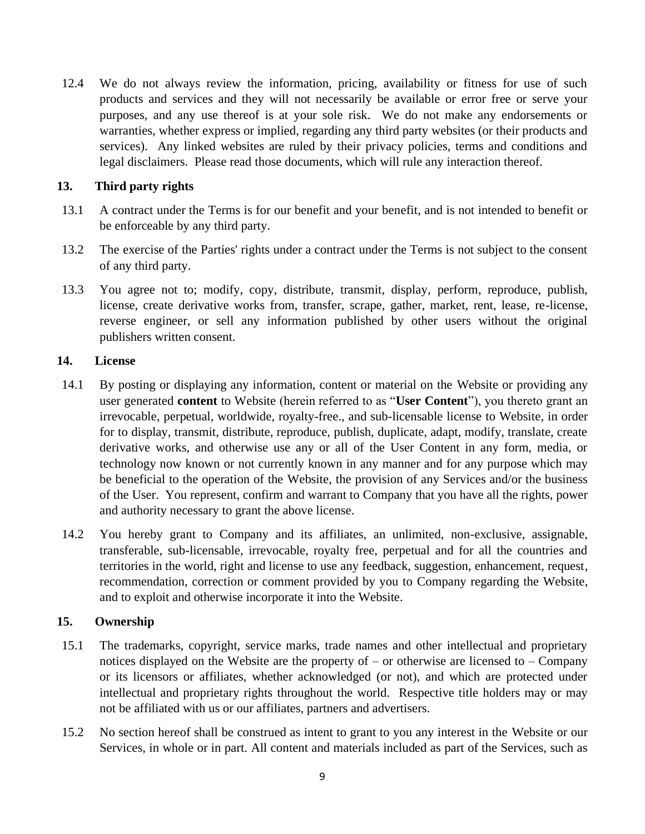12.4 We do not always review the information, pricing, availability or fitness for use of such products and services and they will not necessarily be available or error free or serve your purposes, and any use thereof is at your sole risk. We do not make any endorsements or warranties, whether express or implied, regarding any third party websites (or their products and services). Any linked websites are ruled by their privacy policies, terms and conditions and legal disclaimers. Please read those documents, which will rule any interaction thereof.

## **13. Third party rights**

- 13.1 A contract under the Terms is for our benefit and your benefit, and is not intended to benefit or be enforceable by any third party.
- 13.2 The exercise of the Parties' rights under a contract under the Terms is not subject to the consent of any third party.
- 13.3 You agree not to; modify, copy, distribute, transmit, display, perform, reproduce, publish, license, create derivative works from, transfer, scrape, gather, market, rent, lease, re-license, reverse engineer, or sell any information published by other users without the original publishers written consent.

### **14. License**

- 14.1 By posting or displaying any information, content or material on the Website or providing any user generated **content** to Website (herein referred to as "**User Content**"), you thereto grant an irrevocable, perpetual, worldwide, royalty-free., and sub-licensable license to Website, in order for to display, transmit, distribute, reproduce, publish, duplicate, adapt, modify, translate, create derivative works, and otherwise use any or all of the User Content in any form, media, or technology now known or not currently known in any manner and for any purpose which may be beneficial to the operation of the Website, the provision of any Services and/or the business of the User. You represent, confirm and warrant to Company that you have all the rights, power and authority necessary to grant the above license.
- 14.2 You hereby grant to Company and its affiliates, an unlimited, non-exclusive, assignable, transferable, sub-licensable, irrevocable, royalty free, perpetual and for all the countries and territories in the world, right and license to use any feedback, suggestion, enhancement, request, recommendation, correction or comment provided by you to Company regarding the Website, and to exploit and otherwise incorporate it into the Website.

### **15. Ownership**

- 15.1 The trademarks, copyright, service marks, trade names and other intellectual and proprietary notices displayed on the Website are the property of – or otherwise are licensed to – Company or its licensors or affiliates, whether acknowledged (or not), and which are protected under intellectual and proprietary rights throughout the world. Respective title holders may or may not be affiliated with us or our affiliates, partners and advertisers.
- 15.2 No section hereof shall be construed as intent to grant to you any interest in the Website or our Services, in whole or in part. All content and materials included as part of the Services, such as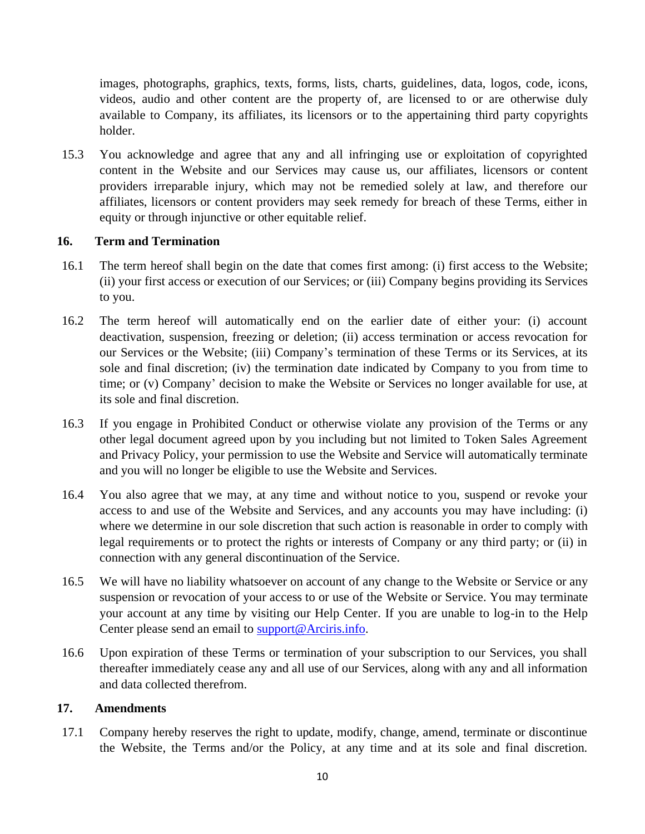images, photographs, graphics, texts, forms, lists, charts, guidelines, data, logos, code, icons, videos, audio and other content are the property of, are licensed to or are otherwise duly available to Company, its affiliates, its licensors or to the appertaining third party copyrights holder.

15.3 You acknowledge and agree that any and all infringing use or exploitation of copyrighted content in the Website and our Services may cause us, our affiliates, licensors or content providers irreparable injury, which may not be remedied solely at law, and therefore our affiliates, licensors or content providers may seek remedy for breach of these Terms, either in equity or through injunctive or other equitable relief.

# **16. Term and Termination**

- 16.1 The term hereof shall begin on the date that comes first among: (i) first access to the Website; (ii) your first access or execution of our Services; or (iii) Company begins providing its Services to you.
- 16.2 The term hereof will automatically end on the earlier date of either your: (i) account deactivation, suspension, freezing or deletion; (ii) access termination or access revocation for our Services or the Website; (iii) Company's termination of these Terms or its Services, at its sole and final discretion; (iv) the termination date indicated by Company to you from time to time; or (v) Company' decision to make the Website or Services no longer available for use, at its sole and final discretion.
- 16.3 If you engage in Prohibited Conduct or otherwise violate any provision of the Terms or any other legal document agreed upon by you including but not limited to Token Sales Agreement and Privacy Policy, your permission to use the Website and Service will automatically terminate and you will no longer be eligible to use the Website and Services.
- 16.4 You also agree that we may, at any time and without notice to you, suspend or revoke your access to and use of the Website and Services, and any accounts you may have including: (i) where we determine in our sole discretion that such action is reasonable in order to comply with legal requirements or to protect the rights or interests of Company or any third party; or (ii) in connection with any general discontinuation of the Service.
- 16.5 We will have no liability whatsoever on account of any change to the Website or Service or any suspension or revocation of your access to or use of the Website or Service. You may terminate your account at any time by visiting our Help Center. If you are unable to log-in to the Help Center please send an email to support@Arciris.info.
- 16.6 Upon expiration of these Terms or termination of your subscription to our Services, you shall thereafter immediately cease any and all use of our Services, along with any and all information and data collected therefrom.

### **17. Amendments**

17.1 Company hereby reserves the right to update, modify, change, amend, terminate or discontinue the Website, the Terms and/or the Policy, at any time and at its sole and final discretion.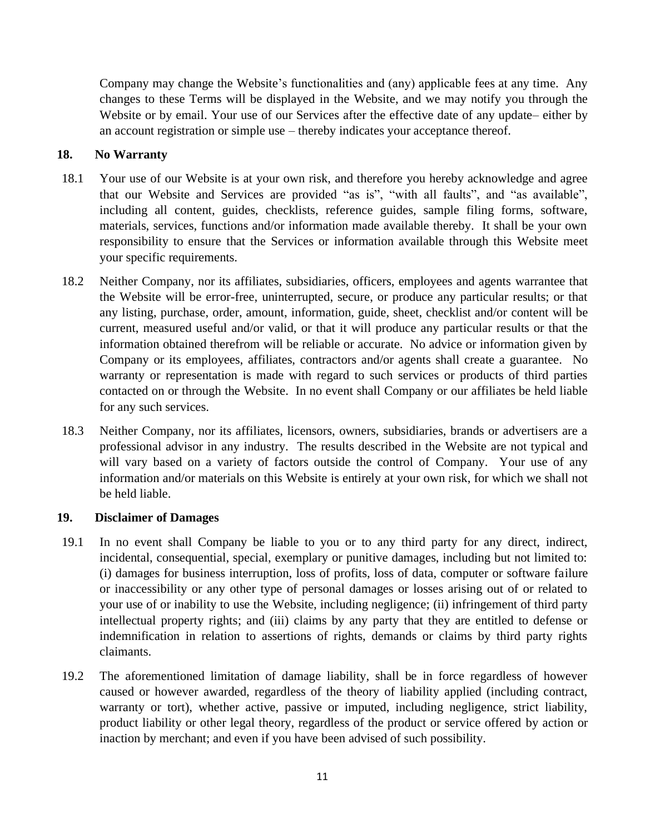Company may change the Website's functionalities and (any) applicable fees at any time. Any changes to these Terms will be displayed in the Website, and we may notify you through the Website or by email. Your use of our Services after the effective date of any update– either by an account registration or simple use – thereby indicates your acceptance thereof.

## **18. No Warranty**

- 18.1 Your use of our Website is at your own risk, and therefore you hereby acknowledge and agree that our Website and Services are provided "as is", "with all faults", and "as available", including all content, guides, checklists, reference guides, sample filing forms, software, materials, services, functions and/or information made available thereby. It shall be your own responsibility to ensure that the Services or information available through this Website meet your specific requirements.
- 18.2 Neither Company, nor its affiliates, subsidiaries, officers, employees and agents warrantee that the Website will be error-free, uninterrupted, secure, or produce any particular results; or that any listing, purchase, order, amount, information, guide, sheet, checklist and/or content will be current, measured useful and/or valid, or that it will produce any particular results or that the information obtained therefrom will be reliable or accurate. No advice or information given by Company or its employees, affiliates, contractors and/or agents shall create a guarantee. No warranty or representation is made with regard to such services or products of third parties contacted on or through the Website. In no event shall Company or our affiliates be held liable for any such services.
- 18.3 Neither Company, nor its affiliates, licensors, owners, subsidiaries, brands or advertisers are a professional advisor in any industry. The results described in the Website are not typical and will vary based on a variety of factors outside the control of Company. Your use of any information and/or materials on this Website is entirely at your own risk, for which we shall not be held liable.

### **19. Disclaimer of Damages**

- 19.1 In no event shall Company be liable to you or to any third party for any direct, indirect, incidental, consequential, special, exemplary or punitive damages, including but not limited to: (i) damages for business interruption, loss of profits, loss of data, computer or software failure or inaccessibility or any other type of personal damages or losses arising out of or related to your use of or inability to use the Website, including negligence; (ii) infringement of third party intellectual property rights; and (iii) claims by any party that they are entitled to defense or indemnification in relation to assertions of rights, demands or claims by third party rights claimants.
- 19.2 The aforementioned limitation of damage liability, shall be in force regardless of however caused or however awarded, regardless of the theory of liability applied (including contract, warranty or tort), whether active, passive or imputed, including negligence, strict liability, product liability or other legal theory, regardless of the product or service offered by action or inaction by merchant; and even if you have been advised of such possibility.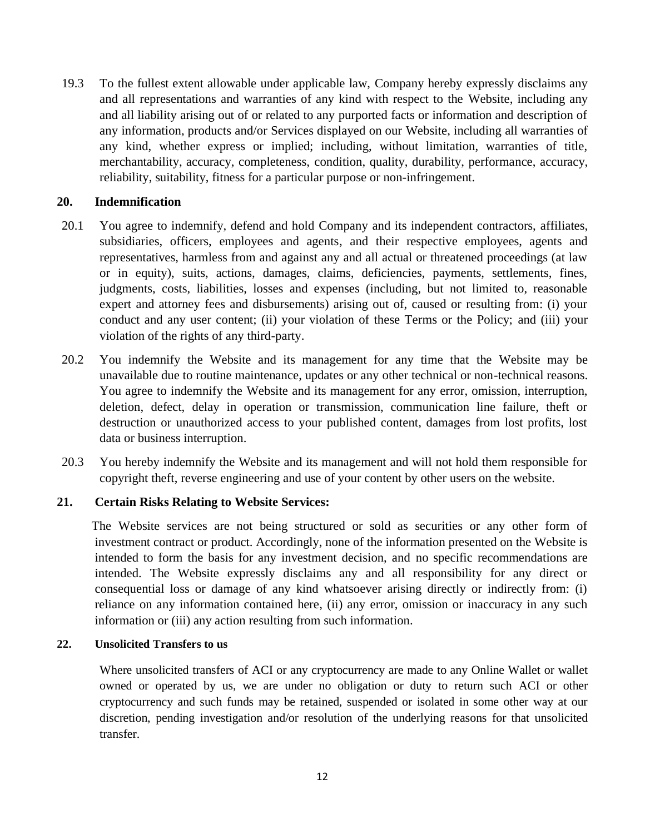19.3 To the fullest extent allowable under applicable law, Company hereby expressly disclaims any and all representations and warranties of any kind with respect to the Website, including any and all liability arising out of or related to any purported facts or information and description of any information, products and/or Services displayed on our Website, including all warranties of any kind, whether express or implied; including, without limitation, warranties of title, merchantability, accuracy, completeness, condition, quality, durability, performance, accuracy, reliability, suitability, fitness for a particular purpose or non-infringement.

#### **20. Indemnification**

- 20.1 You agree to indemnify, defend and hold Company and its independent contractors, affiliates, subsidiaries, officers, employees and agents, and their respective employees, agents and representatives, harmless from and against any and all actual or threatened proceedings (at law or in equity), suits, actions, damages, claims, deficiencies, payments, settlements, fines, judgments, costs, liabilities, losses and expenses (including, but not limited to, reasonable expert and attorney fees and disbursements) arising out of, caused or resulting from: (i) your conduct and any user content; (ii) your violation of these Terms or the Policy; and (iii) your violation of the rights of any third-party.
- 20.2 You indemnify the Website and its management for any time that the Website may be unavailable due to routine maintenance, updates or any other technical or non-technical reasons. You agree to indemnify the Website and its management for any error, omission, interruption, deletion, defect, delay in operation or transmission, communication line failure, theft or destruction or unauthorized access to your published content, damages from lost profits, lost data or business interruption.
- 20.3 You hereby indemnify the Website and its management and will not hold them responsible for copyright theft, reverse engineering and use of your content by other users on the website.

### **21. Certain Risks Relating to Website Services:**

 The Website services are not being structured or sold as securities or any other form of investment contract or product. Accordingly, none of the information presented on the Website is intended to form the basis for any investment decision, and no specific recommendations are intended. The Website expressly disclaims any and all responsibility for any direct or consequential loss or damage of any kind whatsoever arising directly or indirectly from: (i) reliance on any information contained here, (ii) any error, omission or inaccuracy in any such information or (iii) any action resulting from such information.

#### **22. Unsolicited Transfers to us**

Where unsolicited transfers of ACI or any cryptocurrency are made to any Online Wallet or wallet owned or operated by us, we are under no obligation or duty to return such ACI or other cryptocurrency and such funds may be retained, suspended or isolated in some other way at our discretion, pending investigation and/or resolution of the underlying reasons for that unsolicited transfer.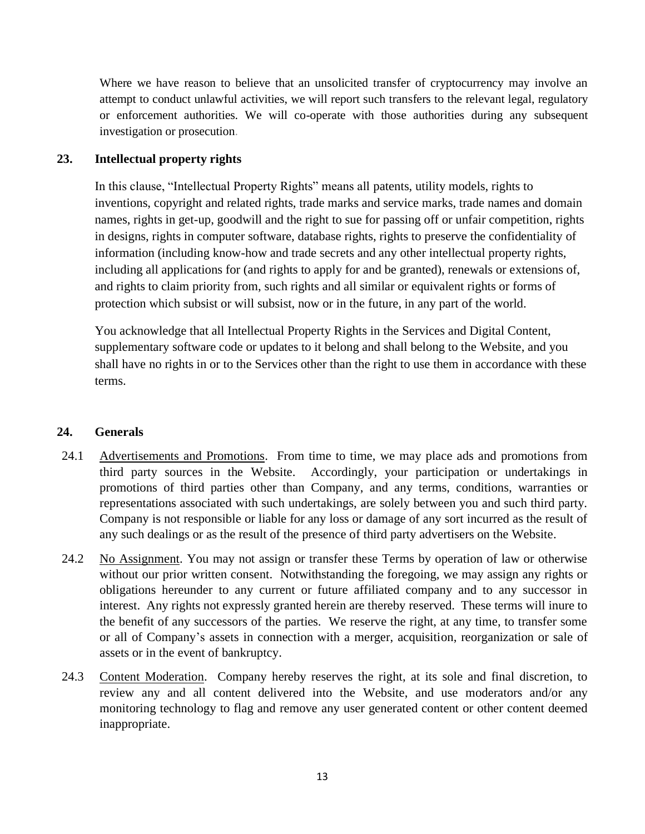Where we have reason to believe that an unsolicited transfer of cryptocurrency may involve an attempt to conduct unlawful activities, we will report such transfers to the relevant legal, regulatory or enforcement authorities. We will co-operate with those authorities during any subsequent investigation or prosecution.

# **23. Intellectual property rights**

In this clause, "Intellectual Property Rights" means all patents, utility models, rights to inventions, copyright and related rights, trade marks and service marks, trade names and domain names, rights in get-up, goodwill and the right to sue for passing off or unfair competition, rights in designs, rights in computer software, database rights, rights to preserve the confidentiality of information (including know-how and trade secrets and any other intellectual property rights, including all applications for (and rights to apply for and be granted), renewals or extensions of, and rights to claim priority from, such rights and all similar or equivalent rights or forms of protection which subsist or will subsist, now or in the future, in any part of the world.

You acknowledge that all Intellectual Property Rights in the Services and Digital Content, supplementary software code or updates to it belong and shall belong to the Website, and you shall have no rights in or to the Services other than the right to use them in accordance with these terms.

# **24. Generals**

- 24.1 Advertisements and Promotions. From time to time, we may place ads and promotions from third party sources in the Website. Accordingly, your participation or undertakings in promotions of third parties other than Company, and any terms, conditions, warranties or representations associated with such undertakings, are solely between you and such third party. Company is not responsible or liable for any loss or damage of any sort incurred as the result of any such dealings or as the result of the presence of third party advertisers on the Website.
- 24.2 No Assignment. You may not assign or transfer these Terms by operation of law or otherwise without our prior written consent. Notwithstanding the foregoing, we may assign any rights or obligations hereunder to any current or future affiliated company and to any successor in interest. Any rights not expressly granted herein are thereby reserved. These terms will inure to the benefit of any successors of the parties. We reserve the right, at any time, to transfer some or all of Company's assets in connection with a merger, acquisition, reorganization or sale of assets or in the event of bankruptcy.
- 24.3 Content Moderation. Company hereby reserves the right, at its sole and final discretion, to review any and all content delivered into the Website, and use moderators and/or any monitoring technology to flag and remove any user generated content or other content deemed inappropriate.